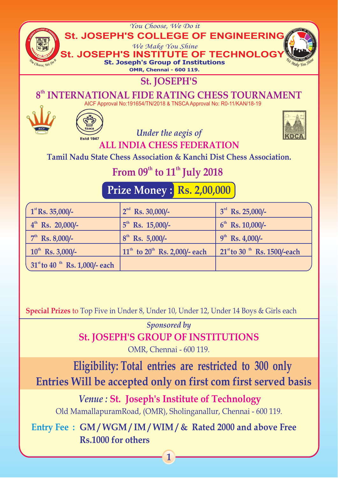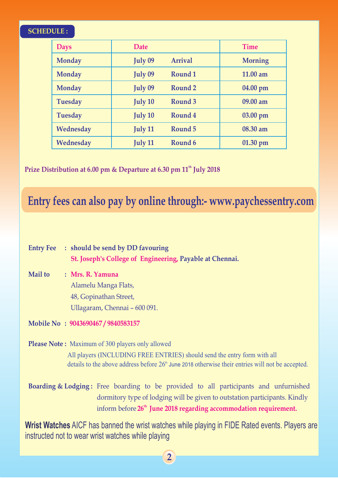### **SCHEDULE :**

| <b>Days</b>    | <b>Date</b>    |                | <b>Time</b>    |
|----------------|----------------|----------------|----------------|
| <b>Monday</b>  | <b>July 09</b> | <b>Arrival</b> | <b>Morning</b> |
| <b>Monday</b>  | <b>July 09</b> | Round 1        | 11.00 am       |
| <b>Monday</b>  | <b>July 09</b> | Round 2        | 04.00 pm       |
| <b>Tuesday</b> | <b>July 10</b> | Round 3        | 09.00 am       |
| <b>Tuesday</b> | <b>July 10</b> | Round 4        | 03.00 pm       |
| Wednesday      | <b>July 11</b> | Round 5        | 08.30 am       |
| Wednesday      | <b>July 11</b> | Round 6        | $01.30$ pm     |

Prize Distribution at 6.00 pm & Departure at 6.30 pm  $11<sup>th</sup>$  July 2018

# **Entry fees can also pay by online through:- www.paychessentry.com**

| <b>Entry Fee</b> | : should be send by DD favouring                                                                                                                                                                                                                    |
|------------------|-----------------------------------------------------------------------------------------------------------------------------------------------------------------------------------------------------------------------------------------------------|
|                  | St. Joseph's College of Engineering, Payable at Chennai.                                                                                                                                                                                            |
| <b>Mail to</b>   | : Mrs. R. Yamuna                                                                                                                                                                                                                                    |
|                  | Alamelu Manga Flats,                                                                                                                                                                                                                                |
|                  | 48, Gopinathan Street,                                                                                                                                                                                                                              |
|                  | Ullagaram, Chennai - 600 091.                                                                                                                                                                                                                       |
|                  | Mobile No: 9043690467/9840583157                                                                                                                                                                                                                    |
|                  | <b>Please Note:</b> Maximum of 300 players only allowed                                                                                                                                                                                             |
|                  | All players (INCLUDING FREE ENTRIES) should send the entry form with all<br>details to the above address before $26th$ June 2018 otherwise their entries will not be accepted.                                                                      |
|                  | Boarding & Lodging: Free boarding to be provided to all participants and unfurnished<br>dormitory type of lodging will be given to outstation participants. Kindly<br>inform before 26 <sup>th</sup> June 2018 regarding accommodation requirement. |
|                  | <b>Wrist Watches</b> AICF has banned the wrist watches while playing in FIDF Rated events. Players are                                                                                                                                              |

Watches while playing in FIDE Rated events. Players are instructed not to wear wrist watches while playing

**2**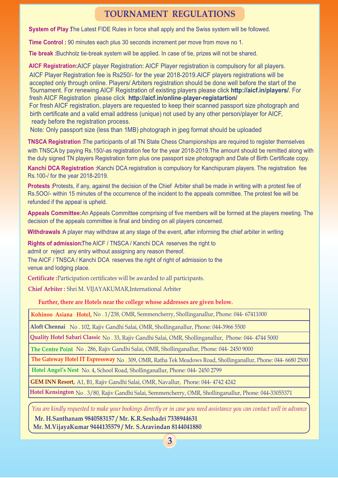#### **TOURNAMENT REGULATIONS**

**System of Play** The Latest FIDE Rules in force shall apply and the Swiss system will be followed.

**Time Control :** 90 minutes each plus 30 seconds increment per move from move no 1.

**Tie break :** Buchholz tie-break system will be applied. In case of tie, prizes will not be shared.

AICF Registration:AICF player Registration: AICF Player registration is compulsory for all players. AICF Player Registration fee is Rs250/- for the year 2018-2019.AICF players registrations will be accepted only through online. Players/ Arbiters registration should be done well before the start of the Tournament. For renewing AICF Registration of existing players please click **http://aicf.in/players/**. For fresh AICF Registration please click **http://aicf.in/online**-**player-registartion/** For fresh AICF registration, players are requested to keep their scanned passport size photograph and birth certificate and a valid email address (unique) not used by any other person/player for AICF, ready before the registration process.

Note: Only passport size (less than 1MB) photograph in jpeg format should be uploaded

**TNSCA Registration :** The participants of all TN State Chess Championships are required to register themselves with TNSCA by paying Rs.150/-as registration fee for the year 2018-2019.The amount should be remitted along with the duly signed TN players Registration form plus one passport size photograph and Date of Birth Certificate copy.

**Kanchi DCA Registration :**Kanchi DCA registration is compulsory for Kanchipuram players. The registration fee Rs.100-/ for the year 2018-2019.

**Protests :**Protests, if any, against the decision of the Chief Arbiter shall be made in writing with a protest fee of Rs.5OO/- within 15 minutes of the occurrence of the incident to the appeals committee. The protest fee will be refunded if the appeal is upheld.

**Appeals Committee:**An Appeals Committee comprising of five members will be formed at the players meeting. The decision of the appeals committee is final and binding on all players concerned.

**Withdrawals** A player may withdraw at any stage of the event, after informing the chief arbiter in writing

**Rights of admission:**The AICF / TNSCA / Kanchi DCA reserves the right to admit or reject any entry without assigning any reason thereof. The AICF / TNSCA / Kanchi DCA reserves the right of right of admission to the

venue and lodging place.

**Certificate :**  Participation certificates will be awarded to all participants.

**Chief Arbiter :** Shri M. VIJAYAKUMAR,International Arbiter

**Further, there are Hotels near the college whose addresses are given below.**

**Kohinoo Asiana Hotel,** No . 1/238, OMR, Semmencherry, Shollinganallur, Phone: 044- 67411000

**Aloft Chennai** No . 102, Rajiv Gandhi Salai, OMR, Shollinganallur, Phone: 044-3966 5500

**Quality Hotel Sabari Classic** No . 33, Rajiv Gandhi Salai, OMR, Shollinganallur, Phone: 044- 4744 5000

**The Centre Point** No . 286, Rajiv Gandhi Salai, OMR, Shollinganallur, Phone: 044- 2450 9000

**The Gateway Hotel IT Expressway** No . 309, OMR, Ratha Tek Meadows Road, Shollinganallur, Phone: 044- 6680 2500

**Hotel Angel's Nest** No. 4, School Road, Shollinganallur, Phone: 044- 2450 2799

**GEM INN Resort,** A1, B1, Rajiv Gandhi Salai, OMR, Navallur, Phone: 044- 4742 4242

**Hotel Kensington** No . 3/80, Rajiv Gandhi Salai, Semmencherry, OMR, Shollinganallur, Phone: 044-33055371

*You are kindly requested to make your bookings directly or in case you need assistance you can contact well in advance*

 **Mr. H.Santhanam 9840583157 / Mr. K.R.Seshadri 7338944631 Mr. M.VijayaKumar 9444135579 / Mr. S.Aravindan 8144041880**